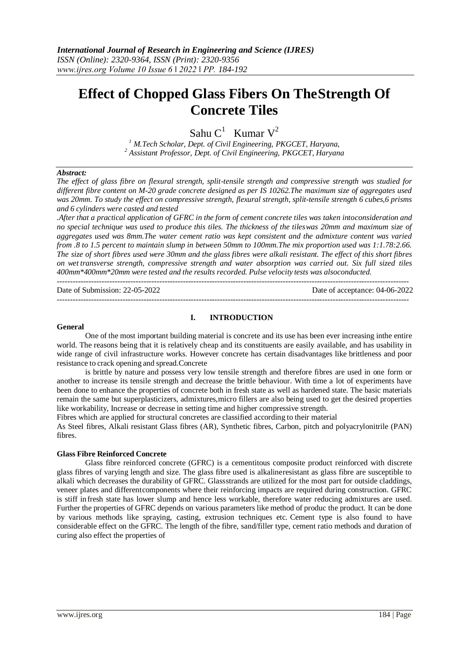# **Effect of Chopped Glass Fibers On TheStrength Of Concrete Tiles**

Sahu C<sup>1</sup> Kumar V<sup>2</sup>

*<sup>1</sup> M.Tech Scholar, Dept. of Civil Engineering, PKGCET, Haryana, <sup>2</sup> Assistant Professor, Dept. of Civil Engineering, PKGCET, Haryana*

#### *Abstract:*

*The effect of glass fibre on flexural strength, split-tensile strength and compressive strength was studied for different fibre content on M-20 grade concrete designed as per IS 10262.The maximum size of aggregates used was 20mm. To study the effect on compressive strength, flexural strength, split-tensile strength 6 cubes,6 prisms and 6 cylinders were casted and tested*

*.After that a practical application of GFRC in the form of cement concrete tiles was taken intoconsideration and no special technique was used to produce this tiles. The thickness of the tileswas 20mm and maximum size of aggregates used was 8mm.The water cement ratio was kept consistent and the admixture content was varied from .8 to 1.5 percent to maintain slump in between 50mm to 100mm.The mix proportion used was 1:1.78:2.66.*  The size of short fibres used were 30mm and the glass fibres were alkali resistant. The effect of this short fibres *on wet transverse strength, compressive strength and water absorption was carried out. Six full sized tiles 400mm\*400mm\*20mm were tested and the results recorded. Pulse velocity tests was alsoconducted.* --------------------------------------------------------------------------------------------------------------------------------------

--------------------------------------------------------------------------------------------------------------------------------------

Date of Submission: 22-05-2022 Date of acceptance: 04-06-2022

#### **General**

## **I. INTRODUCTION**

One of the most important building material is concrete and its use has been ever increasing inthe entire world. The reasons being that it is relatively cheap and its constituents are easily available, and has usability in wide range of civil infrastructure works. However concrete has certain disadvantages like brittleness and poor resistance to crack opening and spread.Concrete

is brittle by nature and possess very low tensile strength and therefore fibres are used in one form or another to increase its tensile strength and decrease the brittle behaviour. With time a lot of experiments have been done to enhance the properties of concrete both in fresh state as well as hardened state. The basic materials remain the same but superplasticizers, admixtures,micro fillers are also being used to get the desired properties like workability, Increase or decrease in setting time and higher compressive strength.

Fibres which are applied for structural concretes are classified according to their material

As Steel fibres, Alkali resistant Glass fibres (AR), Synthetic fibres, Carbon, pitch and polyacrylonitrile (PAN) fibres.

## **Glass Fibre Reinforced Concrete**

Glass fibre reinforced concrete (GFRC) is a cementitous composite product reinforced with discrete glass fibres of varying length and size. The glass fibre used is alkalineresistant as glass fibre are susceptible to alkali which decreases the durability of GFRC. Glassstrands are utilized for the most part for outside claddings, veneer plates and differentcomponents where their reinforcing impacts are required during construction. GFRC is stiff in fresh state has lower slump and hence less workable, therefore water reducing admixtures are used. Further the properties of GFRC depends on various parameters like method of produc the product. It can be done by various methods like spraying, casting, extrusion techniques etc. Cement type is also found to have considerable effect on the GFRC. The length of the fibre, sand/filler type, cement ratio methods and duration of curing also effect the properties of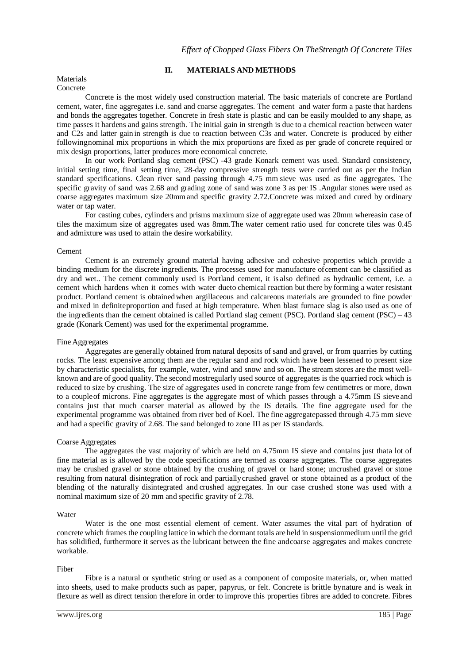# **II. MATERIALS AND METHODS**

#### Materials Concrete

Concrete is the most widely used construction material. The basic materials of concrete are Portland cement, water, fine aggregates i.e. sand and coarse aggregates. The cement and water form a paste that hardens and bonds the aggregates together. Concrete in fresh state is plastic and can be easily moulded to any shape, as time passes it hardens and gains strength. The initial gain in strength is due to a chemical reaction between water and C2s and latter gain in strength is due to reaction between C3s and water. Concrete is produced by either followingnominal mix proportions in which the mix proportions are fixed as per grade of concrete required or mix design proportions, latter produces more economical concrete.

In our work Portland slag cement (PSC) -43 grade Konark cement was used. Standard consistency, initial setting time, final setting time, 28-day compressive strength tests were carried out as per the Indian standard specifications. Clean river sand passing through 4.75 mm sieve was used as fine aggregates. The specific gravity of sand was 2.68 and grading zone of sand was zone 3 as per IS .Angular stones were used as coarse aggregates maximum size 20mmand specific gravity 2.72.Concrete was mixed and cured by ordinary water or tap water.

For casting cubes, cylinders and prisms maximum size of aggregate used was 20mm whereasin case of tiles the maximum size of aggregates used was 8mm.The water cement ratio used for concrete tiles was 0.45 and admixture was used to attain the desire workability.

#### Cement

Cement is an extremely ground material having adhesive and cohesive properties which provide a binding medium for the discrete ingredients. The processes used for manufacture ofcement can be classified as dry and wet.. The cement commonly used is Portland cement, it is also defined as hydraulic cement, i.e. a cement which hardens when it comes with water dueto chemical reaction but there by forming a water resistant product. Portland cement is obtainedwhen argillaceous and calcareous materials are grounded to fine powder and mixed in definiteproportion and fused at high temperature. When blast furnace slag is also used as one of the ingredients than the cement obtained is called Portland slag cement (PSC). Portland slag cement (PSC) – 43 grade (Konark Cement) was used for the experimental programme.

#### Fine Aggregates

Aggregates are generally obtained from natural deposits of sand and gravel, or from quarries by cutting rocks. The least expensive among them are the regular sand and rock which have been lessened to present size by characteristic specialists, for example, water, wind and snow and so on. The stream stores are the most wellknown and are of good quality. The second mostregularly used source of aggregates is the quarried rock which is reduced to size by crushing. The size of aggregates used in concrete range from few centimetres or more, down to a coupleof microns. Fine aggregates is the aggregate most of which passes through a 4.75mm IS sieve and contains just that much coarser material as allowed by the IS details. The fine aggregate used for the experimental programme was obtained from river bed of Koel. The fine aggregatepassed through 4.75 mm sieve and had a specific gravity of 2.68. The sand belonged to zone III as per IS standards.

#### Coarse Aggregates

The aggregates the vast majority of which are held on 4.75mm IS sieve and contains just thata lot of fine material as is allowed by the code specifications are termed as coarse aggregates. The coarse aggregates may be crushed gravel or stone obtained by the crushing of gravel or hard stone; uncrushed gravel or stone resulting from natural disintegration of rock and partiallycrushed gravel or stone obtained as a product of the blending of the naturally disintegrated and crushed aggregates. In our case crushed stone was used with a nominal maximum size of 20 mm and specific gravity of 2.78.

#### Water

Water is the one most essential element of cement. Water assumes the vital part of hydration of concrete which frames the coupling lattice in which the dormant totals are held in suspensionmedium until the grid has solidified, furthermore it serves as the lubricant between the fine andcoarse aggregates and makes concrete workable.

## Fiber

Fibre is a natural or synthetic string or used as a component of composite materials, or, when matted into sheets, used to make products such as paper, papyrus, or felt. Concrete is brittle bynature and is weak in flexure as well as direct tension therefore in order to improve this properties fibres are added to concrete. Fibres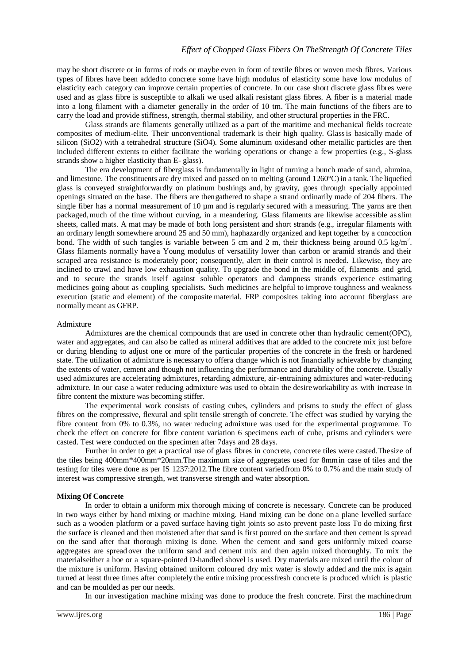may be short discrete or in forms of rods or maybe even in form of textile fibres or woven mesh fibres. Various types of fibres have been addedto concrete some have high modulus of elasticity some have low modulus of elasticity each category can improve certain properties of concrete. In our case short discrete glass fibres were used and as glass fibre is susceptible to alkali we used alkali resistant glass fibres. A fiber is a material made into a long filament with a diameter generally in the order of 10 tm. The main functions of the fibers are to carry the load and provide stiffness, strength, thermal stability, and other structural properties in the FRC.

Glass strands are filaments generally utilized as a part of the maritime and mechanical fields tocreate composites of medium-elite. Their unconventional trademark is their high quality. Glassis basically made of silicon (SiO2) with a tetrahedral structure (SiO4). Some aluminum oxidesand other metallic particles are then included different extents to either facilitate the working operations or change a few properties (e.g., S-glass strands show a higher elasticity than E- glass).

The era development of fiberglass is fundamentally in light of turning a bunch made of sand, alumina, and limestone. The constituents are dry mixed and passed on to melting (around 1260°C) in a tank. The liquefied glass is conveyed straightforwardly on platinum bushings and, by gravity, goes through specially appointed openings situated on the base. The fibers are thengathered to shape a strand ordinarily made of 204 fibers. The single fiber has a normal measurement of 10 µm and is regularly secured with a measuring. The yarns are then packaged,much of the time without curving, in a meandering. Glass filaments are likewise accessible asslim sheets, called mats. A mat may be made of both long persistent and short strands (e.g., irregular filaments with an ordinary length somewhere around 25 and 50 mm), haphazardly organized and kept together by a concoction bond. The width of such tangles is variable between 5 cm and 2 m, their thickness being around 0.5 kg/m<sup>2</sup>. Glass filaments normally have a Young modulus of versatility lower than carbon or aramid strands and their scraped area resistance is moderately poor; consequently, alert in their control is needed. Likewise, they are inclined to crawl and have low exhaustion quality. To upgrade the bond in the middle of, filaments and grid, and to secure the strands itself against soluble operators and dampness strands experience estimating medicines going about as coupling specialists. Such medicines are helpful to improve toughness and weakness execution (static and element) of the composite material. FRP composites taking into account fiberglass are normally meant as GFRP.

#### Admixture

Admixtures are the chemical compounds that are used in concrete other than hydraulic cement(OPC), water and aggregates, and can also be called as mineral additives that are added to the concrete mix just before or during blending to adjust one or more of the particular properties of the concrete in the fresh or hardened state. The utilization of admixture is necessary to offera change which is not financially achievable by changing the extents of water, cement and though not influencing the performance and durability of the concrete. Usually used admixtures are accelerating admixtures, retarding admixture, air-entraining admixtures and water-reducing admixture. In our case a water reducing admixture was used to obtain the desireworkability as with increase in fibre content the mixture was becoming stiffer.

The experimental work consists of casting cubes, cylinders and prisms to study the effect of glass fibres on the compressive, flexural and split tensile strength of concrete. The effect was studied by varying the fibre content from 0% to 0.3%, no water reducing admixture was used for the experimental programme. To check the effect on concrete for fibre content variation 6 specimens each of cube, prisms and cylinders were casted. Test were conducted on the specimen after 7days and 28 days.

Further in order to get a practical use of glass fibres in concrete, concrete tiles were casted.Thesize of the tiles being 400mm\*400mm\*20mm.The maximum size of aggregates used for 8mmin case of tiles and the testing for tiles were done as per IS 1237:2012.The fibre content variedfrom 0% to 0.7% and the main study of interest was compressive strength, wet transverse strength and water absorption.

#### **Mixing Of Concrete**

In order to obtain a uniform mix thorough mixing of concrete is necessary. Concrete can be produced in two ways either by hand mixing or machine mixing. Hand mixing can be done on a plane levelled surface such as a wooden platform or a paved surface having tight joints so asto prevent paste loss To do mixing first the surface is cleaned and then moistened after that sand is first poured on the surface and then cement is spread on the sand after that thorough mixing is done. When the cement and sand gets uniformly mixed coarse aggregates are spread over the uniform sand and cement mix and then again mixed thoroughly. To mix the materialseither a hoe or a square-pointed D-handled shovel is used. Dry materials are mixed until the colour of the mixture is uniform. Having obtained uniform coloured dry mix water is slowly added and the mix is again turned at least three times after completely the entire mixing processfresh concrete is produced which is plastic and can be moulded as per our needs.

In our investigation machine mixing was done to produce the fresh concrete. First the machinedrum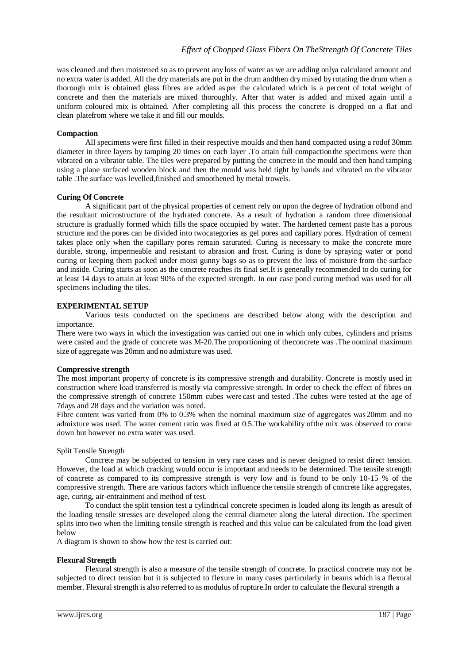was cleaned and then moistened so as to prevent any loss of water as we are adding onlya calculated amount and no extra water is added. All the dry materials are put in the drum andthen drymixed by rotating the drum when a thorough mix is obtained glass fibres are added as per the calculated which is a percent of total weight of concrete and then the materials are mixed thoroughly. After that water is added and mixed again until a uniform coloured mix is obtained. After completing all this process the concrete is dropped on a flat and clean platefrom where we take it and fill our moulds.

## **Compaction**

All specimens were first filled in their respective moulds and then hand compacted using a rodof 30mm diameter in three layers by tamping 20 times on each layer .To attain full compaction the specimens were than vibrated on a vibrator table. The tiles were prepared by putting the concrete in the mould and then hand tamping using a plane surfaced wooden block and then the mould was held tight by hands and vibrated on the vibrator table .The surface was levelled,finished and smoothened by metal trowels.

## **Curing Of Concrete**

A significant part of the physical properties of cement rely on upon the degree of hydration ofbond and the resultant microstructure of the hydrated concrete. As a result of hydration a random three dimensional structure is gradually formed which fills the space occupied by water. The hardened cement paste has a porous structure and the pores can be divided into twocategories as gel pores and capillary pores. Hydration of cement takes place only when the capillary pores remain saturated. Curing is necessary to make the concrete more durable, strong, impermeable and resistant to abrasion and frost. Curing is done by spraying water or pond curing or keeping them packed under moist gunny bags so as to prevent the loss of moisture from the surface and inside. Curing starts as soon as the concrete reaches its final set.It is generally recommended to do curing for at least 14 days to attain at least 90% of the expected strength. In our case pond curing method was used for all specimens including the tiles.

# **EXPERIMENTAL SETUP**

Various tests conducted on the specimens are described below along with the description and importance.

There were two ways in which the investigation was carried out one in which only cubes, cylinders and prisms were casted and the grade of concrete was M-20.The proportioning of theconcrete was .The nominal maximum size of aggregate was 20mm and no admixture was used.

## **Compressive strength**

The most important property of concrete is its compressive strength and durability. Concrete is mostly used in construction where load transferred is mostly via compressive strength. In order to check the effect of fibres on the compressive strength of concrete 150mm cubes were cast and tested .The cubes were tested at the age of 7days and 28 days and the variation was noted.

Fibre content was varied from 0% to 0.3% when the nominal maximum size of aggregates was 20mm and no admixture was used. The water cement ratio was fixed at 0.5.The workability ofthe mix was observed to come down but however no extra water was used.

## Split Tensile Strength

Concrete may be subjected to tension in very rare cases and is never designed to resist direct tension. However, the load at which cracking would occur is important and needs to be determined. The tensile strength of concrete as compared to its compressive strength is very low and is found to be only 10-15 % of the compressive strength. There are various factors which influence the tensile strength of concrete like aggregates, age, curing, air-entrainment and method of test.

To conduct the split tension test a cylindrical concrete specimen is loaded along its length as aresult of the loading tensile stresses are developed along the central diameter along the lateral direction. The specimen splits into two when the limiting tensile strength is reached and this value can be calculated from the load given below

A diagram is shown to show how the test is carried out:

## **Flexural Strength**

Flexural strength is also a measure of the tensile strength of concrete. In practical concrete may not be subjected to direct tension but it is subjected to flexure in many cases particularly in beams which is a flexural member. Flexural strength is also referred to as modulus of rupture.In order to calculate the flexural strength a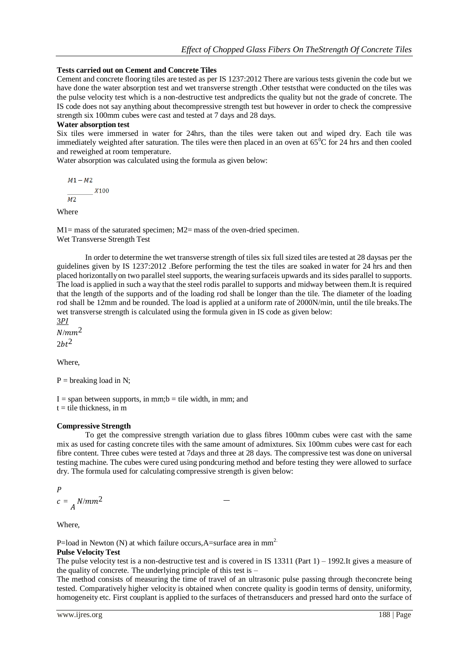## **Tests carried out on Cement and Concrete Tiles**

Cement and concrete flooring tiles are tested as per IS 1237:2012 There are various tests givenin the code but we have done the water absorption test and wet transverse strength .Other teststhat were conducted on the tiles was the pulse velocity test which is a non-destructive test andpredicts the quality but not the grade of concrete. The IS code does not say anything about thecompressive strength test but however in order to check the compressive strength six 100mm cubes were cast and tested at 7 days and 28 days.

#### **Water absorption test**

Six tiles were immersed in water for 24hrs, than the tiles were taken out and wiped dry. Each tile was immediately weighted after saturation. The tiles were then placed in an oven at  $65^{\circ}$ C for 24 hrs and then cooled and reweighed at room temperature.

Water absorption was calculated using the formula as given below:

 $M1 - M2$  $X100$  $M<sub>2</sub>$ 

Where

M1= mass of the saturated specimen; M2= mass of the oven-dried specimen. Wet Transverse Strength Test

In order to determine the wet transverse strength of tiles six full sized tiles are tested at 28 daysas per the guidelines given by IS 1237:2012 .Before performing the test the tiles are soaked in water for 24 hrs and then placed horizontally on two parallel steel supports, the wearing surfaceis upwards and its sides parallel to supports. The load is applied in such a way that the steel rodis parallel to supports and midway between them.It is required that the length of the supports and of the loading rod shall be longer than the tile. The diameter of the loading rod shall be 12mm and be rounded. The load is applied at a uniform rate of 2000N/min, until the tile breaks.The wet transverse strength is calculated using the formula given in IS code as given below:

 $3PI$ 

 $N/mm^2$ 

 $2bt^2$ 

Where,

 $P =$  breaking load in N;

 $I = span between supports, in mm; b = tile width, in mm; and$  $t =$  tile thickness, in m

#### **Compressive Strength**

To get the compressive strength variation due to glass fibres 100mm cubes were cast with the same mix as used for casting concrete tiles with the same amount of admixtures. Six 100mm cubes were cast for each fibre content. Three cubes were tested at 7days and three at 28 days. The compressive test was done on universal testing machine. The cubes were cured using pondcuring method and before testing they were allowed to surface dry. The formula used for calculating compressive strength is given below:

$$
P
$$

$$
c = \frac{1}{A} N/mm^2
$$

Where,

P=load in Newton (N) at which failure occurs, A=surface area in  $mm<sup>2</sup>$ .

## **Pulse Velocity Test**

The pulse velocity test is a non-destructive test and is covered in IS 13311 (Part 1) – 1992.It gives a measure of the quality of concrete. The underlying principle of this test is –

The method consists of measuring the time of travel of an ultrasonic pulse passing through theconcrete being tested. Comparatively higher velocity is obtained when concrete quality is goodin terms of density, uniformity, homogeneity etc. First couplant is applied to the surfaces of thetransducers and pressed hard onto the surface of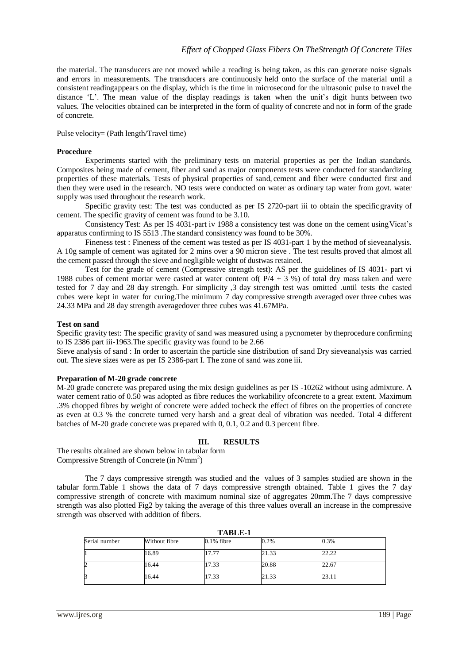the material. The transducers are not moved while a reading is being taken, as this can generate noise signals and errors in measurements. The transducers are continuously held onto the surface of the material until a consistent readingappears on the display, which is the time in microsecond for the ultrasonic pulse to travel the distance 'L'. The mean value of the display readings is taken when the unit's digit hunts between two values. The velocities obtained can be interpreted in the form of quality of concrete and not in form of the grade of concrete.

Pulse velocity= (Path length/Travel time)

## **Procedure**

Experiments started with the preliminary tests on material properties as per the Indian standards. Composites being made of cement, fiber and sand as major components tests were conducted for standardizing properties of these materials. Tests of physical properties of sand, cement and fiber were conducted first and then they were used in the research. NO tests were conducted on water as ordinary tap water from govt. water supply was used throughout the research work.

Specific gravity test: The test was conducted as per IS 2720-part iii to obtain the specific gravity of cement. The specific gravity of cement was found to be 3.10.

Consistency Test: As per IS 4031-part iv 1988 a consistency test was done on the cement usingVicat's apparatus confirming to IS 5513 .The standard consistency was found to be 30%.

Fineness test : Fineness of the cement was tested as per IS 4031-part 1 by the method of sieveanalysis. A 10g sample of cement was agitated for 2 mins over a 90 micron sieve . The test results proved that almost all the cement passed through the sieve and negligible weight of dustwas retained.

Test for the grade of cement (Compressive strength test): AS per the guidelines of IS 4031- part vi 1988 cubes of cement mortar were casted at water content of  $P/4 + 3$  %) of total dry mass taken and were tested for 7 day and 28 day strength. For simplicity ,3 day strength test was omitted .until tests the casted cubes were kept in water for curing.The minimum 7 day compressive strength averaged over three cubes was 24.33 MPa and 28 day strength averagedover three cubes was 41.67MPa.

## **Test on sand**

Specific gravity test: The specific gravity of sand was measured using a pycnometer by theprocedure confirming to IS 2386 part iii-1963.The specific gravity was found to be 2.66

Sieve analysis of sand : In order to ascertain the particle sine distribution of sand Dry sieveanalysis was carried out. The sieve sizes were as per IS 2386-part I. The zone of sand was zone iii.

## **Preparation of M-20 grade concrete**

M-20 grade concrete was prepared using the mix design guidelines as per IS -10262 without using admixture. A water cement ratio of 0.50 was adopted as fibre reduces the workability of concrete to a great extent. Maximum .3% chopped fibres by weight of concrete were added tocheck the effect of fibres on the properties of concrete as even at 0.3 % the concrete turned very harsh and a great deal of vibration was needed. Total 4 different batches of M-20 grade concrete was prepared with 0, 0.1, 0.2 and 0.3 percent fibre.

## **III. RESULTS**

The results obtained are shown below in tabular form Compressive Strength of Concrete (in N/mm<sup>2</sup>)

The 7 days compressive strength was studied and the values of 3 samples studied are shown in the tabular form.Table 1 shows the data of 7 days compressive strength obtained. Table 1 gives the 7 day compressive strength of concrete with maximum nominal size of aggregates 20mm.The 7 days compressive strength was also plotted Fig2 by taking the average of this three values overall an increase in the compressive strength was observed with addition of fibers.

| тарпет        |               |               |       |       |  |
|---------------|---------------|---------------|-------|-------|--|
| Serial number | Without fibre | $0.1\%$ fibre | 0.2%  | 0.3%  |  |
|               | 16.89         | 17.77         | 21.33 | 22.22 |  |
| 2             | 16.44         | 17.33         | 20.88 | 22.67 |  |
| 3             | 16.44         | 17.33         | 21.33 | 23.11 |  |

**TABLE-1**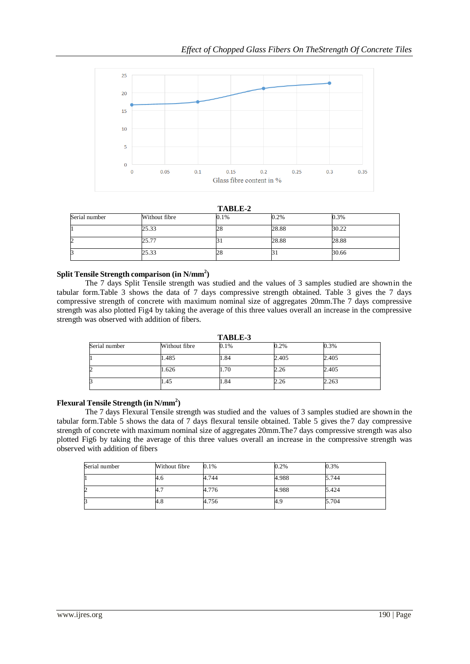

**TABLE-2**

| 11WUU-A       |               |      |       |       |
|---------------|---------------|------|-------|-------|
| Serial number | Without fibre | 0.1% | 0.2%  | 0.3%  |
|               | 25.33         | 28   | 28.88 | 30.22 |
| 2             | 25.77         |      | 28.88 | 28.88 |
| 3             | 25.33         | 28   | DІ    | 30.66 |

# **Split Tensile Strength comparison (in N/mm<sup>2</sup> )**

The 7 days Split Tensile strength was studied and the values of 3 samples studied are shownin the tabular form.Table 3 shows the data of 7 days compressive strength obtained. Table 3 gives the 7 days compressive strength of concrete with maximum nominal size of aggregates 20mm.The 7 days compressive strength was also plotted Fig4 by taking the average of this three values overall an increase in the compressive strength was observed with addition of fibers.

**TABLE-3** Serial number Without fibre  $0.1\%$  0.2% 0.3% 1 1.485 1.84 2.405 2.405 2 1.626 1.70 2.26 2.405 3 1.45 1.84 2.26 2.263

# **Flexural Tensile Strength (in N/mm<sup>2</sup> )**

The 7 days Flexural Tensile strength was studied and the values of 3 samples studied are shownin the tabular form.Table 5 shows the data of 7 days flexural tensile obtained. Table 5 gives the 7 day compressive strength of concrete with maximum nominal size of aggregates 20mm.The7 days compressive strength was also plotted Fig6 by taking the average of this three values overall an increase in the compressive strength was observed with addition of fibers

| Serial number | Without fibre | 0.1%  | 0.2%  | 0.3%  |
|---------------|---------------|-------|-------|-------|
|               | 4.6           | 4.744 | 4.988 | 5.744 |
| ∠             | 4.7           | 4.776 | 4.988 | 5.424 |
|               | 4.8           | 4.756 | 4.9   | 5.704 |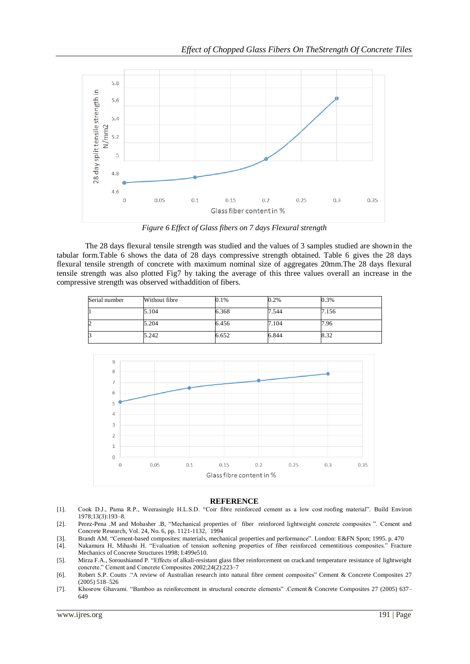

*Figure 6 Effect of Glass fibers on 7 days Flexural strength*

The 28 days flexural tensile strength was studied and the values of 3 samples studied are shownin the tabular form.Table 6 shows the data of 28 days compressive strength obtained. Table 6 gives the 28 days flexural tensile strength of concrete with maximum nominal size of aggregates 20mm.The 28 days flexural tensile strength was also plotted Fig7 by taking the average of this three values overall an increase in the compressive strength was observed withaddition of fibers.

| Serial number | Without fibre | 0.1%  | 0.2%  | 0.3%  |
|---------------|---------------|-------|-------|-------|
|               | 5.104         | 6.368 | 7.544 | 7.156 |
| ∠             | 5.204         | 6.456 | 7.104 | 7.96  |
|               | 5.242         | 6.652 | 6.844 | 8.32  |



## **REFERENCE**

- [1]. Cook D.J., Pama R.P., Weerasingle H.L.S.D. "Coir fibre reinforced cement as a low cost roofing material". Build Environ 1978;13(3):193–8.
- [2]. Perez-Pena .M and Mobasher .B, "Mechanical properties of fiber reinforced lightweight concrete composites ". Cement and Concrete Research, Vol. 24, No. 6, pp. 1121-1132, 1994
- [3]. Brandt AM. "Cement-based composites: materials, mechanical properties and performance". London: E&FN Spon; 1995. p. 470
- [4]. Nakamura H, Mihashi H. "Evaluation of tension softening properties of fiber reinforced cementitious composites." Fracture Mechanics of Concrete Structures 1998; I:499e510.
- [5]. Mirza F.A., Soroushiannd P. "Effects of alkali-resistant glass fiber reinforcement on crackand temperature resistance of lightweight concrete." Cement and Concrete Composites 2002;24(2):223–7
- [6]. Robert S.P. Coutts ."A review of Australian research into natural fibre cement composites" Cement & Concrete Composites 27 (2005) 518–526
- [7]. Khosrow Ghavami. "Bamboo as reinforcement in structural concrete elements" .Cement & Concrete Composites 27 (2005) 637– 649